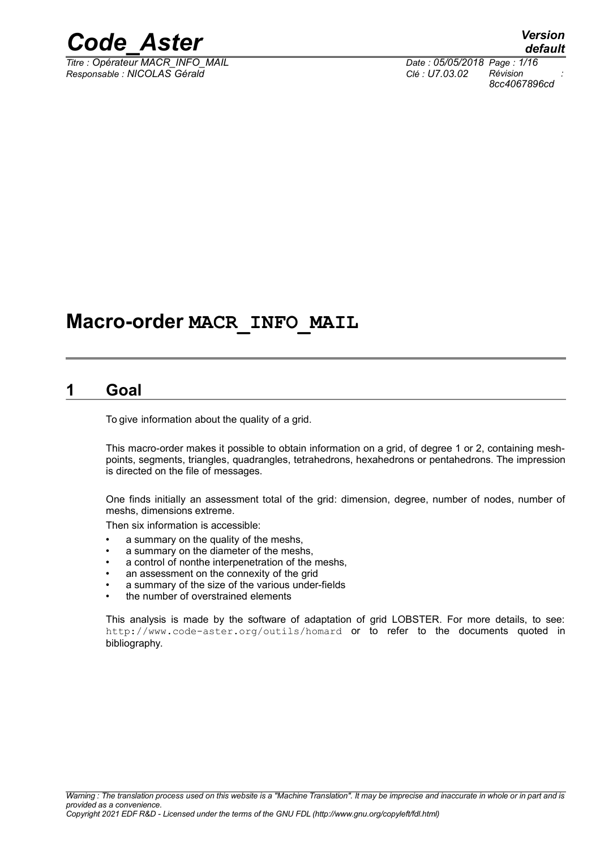

*Titre : Opérateur MACR\_INFO\_MAIL Date : 05/05/2018 Page : 1/16 Responsable : NICOLAS Gérald Clé : U7.03.02 Révision :*

*8cc4067896cd*

### **Macro-order MACR\_INFO\_MAIL**

### **1 Goal**

<span id="page-0-0"></span>To give information about the quality of a grid.

This macro-order makes it possible to obtain information on a grid, of degree 1 or 2, containing meshpoints, segments, triangles, quadrangles, tetrahedrons, hexahedrons or pentahedrons. The impression is directed on the file of messages.

One finds initially an assessment total of the grid: dimension, degree, number of nodes, number of meshs, dimensions extreme.

Then six information is accessible:

- a summary on the quality of the meshs,
- a summary on the diameter of the meshs,
- a control of nonthe interpenetration of the meshs,
- an assessment on the connexity of the grid
- a summary of the size of the various under-fields
- the number of overstrained elements

This analysis is made by the software of adaptation of grid LOBSTER. For more details, to see: http://www.code-aster.org/outils/homard or to refer to the documents quoted in bibliography.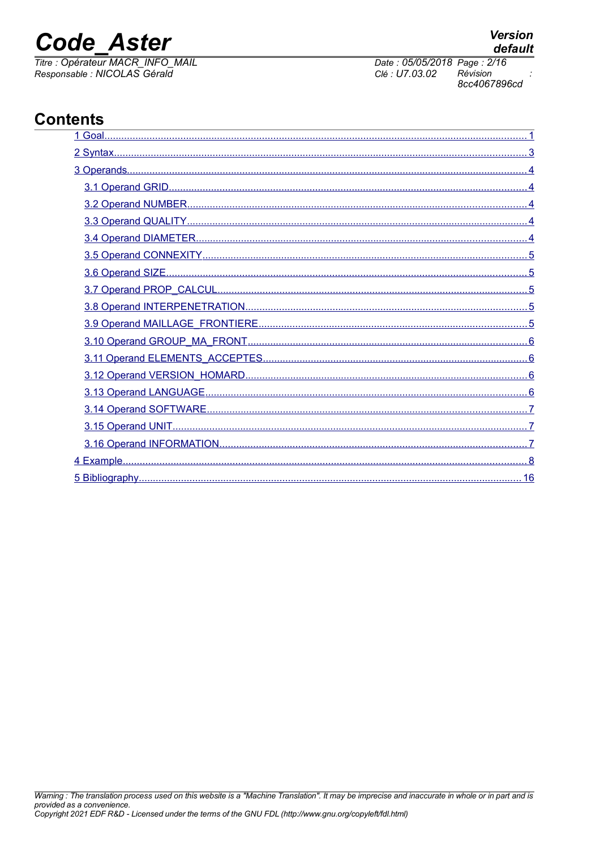Titre : Opérateur MACR INFO MAIL Responsable : NICOLAS Gérald

### **Contents**

**Version** default

÷

Date: 05/05/2018 Page: 2/16 Clé : U7.03.02 Révision 8cc4067896cd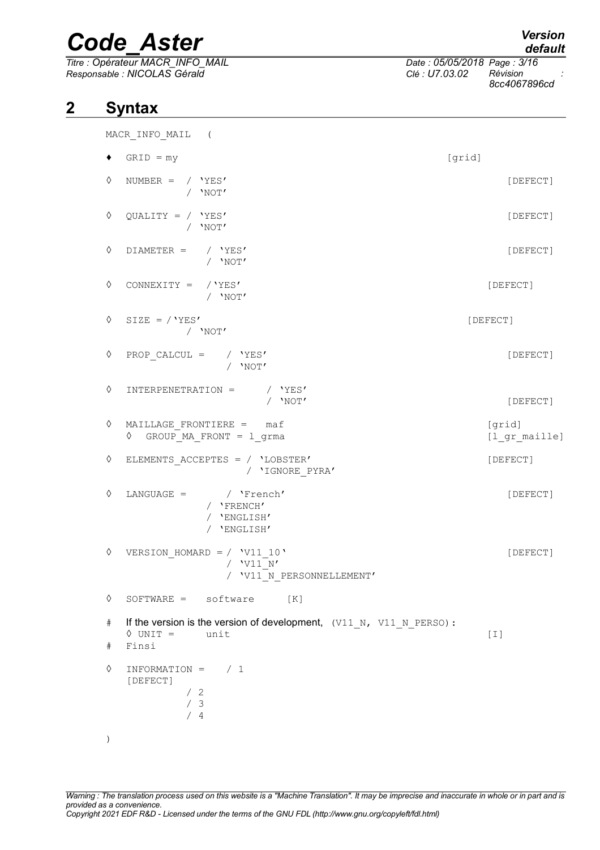*Titre : Opérateur MACR\_INFO\_MAIL Date : 05/05/2018 Page : 3/16 Responsable : NICOLAS Gérald Clé : U7.03.02 Révision :*

*default*

*8cc4067896cd*

### **2 Syntax**

<span id="page-2-0"></span>

|               | MACR INFO MAIL<br>$\sqrt{2}$                                                                        |                              |
|---------------|-----------------------------------------------------------------------------------------------------|------------------------------|
| ٠             | $GRID = my$                                                                                         | [grid]                       |
| $\Diamond$    | NUMBER = $/$ 'YES'<br>/ $'NOT'$                                                                     | [DEFECT]                     |
| ♦             | $QUALITY = / 'YES'$<br>$/$ 'NOT'                                                                    | [DEFECT]                     |
| ♦             | DIAMETER = $/$ 'YES'<br>/ $'$ NOT'                                                                  | [DEFECT]                     |
| ♦             | CONNEXITY = $/$ 'YES'<br>/ $'$ NOT'                                                                 | [DEFECT]                     |
| $\Diamond$    | $SIZE = / YES'$<br>/ $'NOT'$                                                                        | [DEFECT]                     |
| $\Diamond$    | PROP_CALCUL = $/$ 'YES'<br>/ $'$ NOT'                                                               | [DEFECT]                     |
| $\Diamond$    | $\verb INTERPENERTRATION = \texttt{\texttt{}/} 'YES'$<br>/ $'$ NOT'                                 | [DEFECT]                     |
| ♦             | MAILLAGE FRONTIERE = maf<br>$GROUP_MA_FRONT = 1_{gram}$<br>♦                                        | [grid]<br>$[1_{gr\_maille}]$ |
| $\Diamond$    | ELEMENTS ACCEPTES = $/$ 'LOBSTER'<br>/ 'IGNORE_PYRA'                                                | [DEFECT]                     |
| $\Diamond$    | LANGUAGE = $/$ 'French'<br>/ 'FRENCH'<br>/ 'ENGLISH'<br>/ 'ENGLISH'                                 | [DEFECT]                     |
| $\Diamond$    | VERSION_HOMARD = $/$ 'V11_10'<br>/ 'V11 N'<br>/ 'V11 N PERSONNELLEMENT'                             | [DEFECT]                     |
| ♦             | $SOFTWARE = software$<br>[K]                                                                        |                              |
| $\#$<br>$\#$  | If the version is the version of development, (V11 N, V11 N PERSO) :<br>$&$ UNIT =<br>unit<br>Finsi | [I]                          |
| $\Diamond$    | INFORMATION =<br>/1<br>[DEFECT]<br>/2<br>/3<br>/4                                                   |                              |
| $\mathcal{C}$ |                                                                                                     |                              |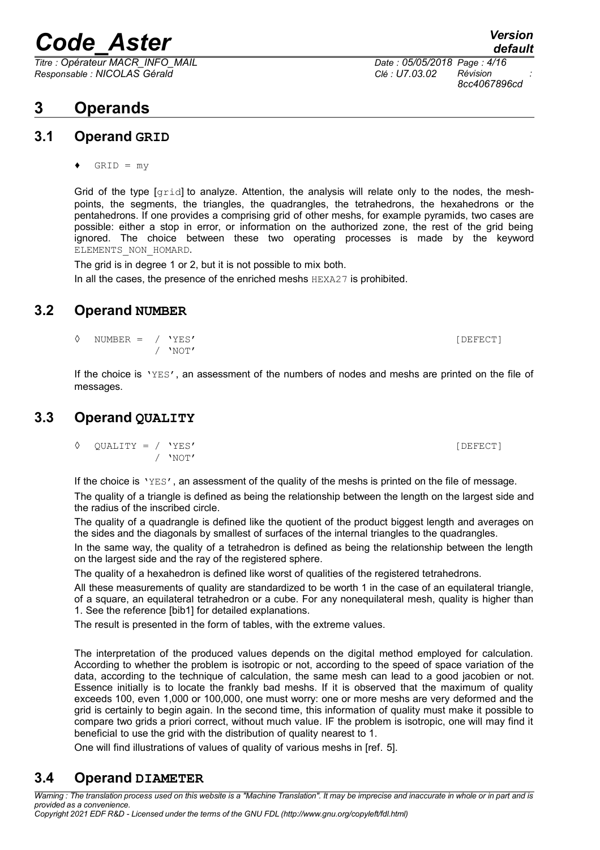*Titre : Opérateur MACR\_INFO\_MAIL Date : 05/05/2018 Page : 4/16 Responsable : NICOLAS Gérald Clé : U7.03.02 Révision :*

### <span id="page-3-4"></span>**3 Operands**

### **3.1 Operand GRID**

<span id="page-3-3"></span> $GRID = my$ 

Grid of the type [grid] to analyze. Attention, the analysis will relate only to the nodes, the meshpoints, the segments, the triangles, the quadrangles, the tetrahedrons, the hexahedrons or the pentahedrons. If one provides a comprising grid of other meshs, for example pyramids, two cases are possible: either a stop in error, or information on the authorized zone, the rest of the grid being ignored. The choice between these two operating processes is made by the keyword ELEMENTS\_NON\_HOMARD.

The grid is in degree 1 or 2, but it is not possible to mix both. In all the cases, the presence of the enriched meshs HEXA27 is prohibited.

### **3.2 Operand NUMBER**

<span id="page-3-2"></span>◊ NUMBER = / 'YES' [DEFECT] / 'NOT'

If the choice is 'YES', an assessment of the numbers of nodes and meshs are printed on the file of messages.

### **3.3 Operand QUALITY**

<span id="page-3-1"></span>◊ QUALITY = / 'YES' [DEFECT] / 'NOT'

If the choice is 'YES', an assessment of the quality of the meshs is printed on the file of message. The quality of a triangle is defined as being the relationship between the length on the largest side and the radius of the inscribed circle.

The quality of a quadrangle is defined like the quotient of the product biggest length and averages on the sides and the diagonals by smallest of surfaces of the internal triangles to the quadrangles.

In the same way, the quality of a tetrahedron is defined as being the relationship between the length on the largest side and the ray of the registered sphere.

The quality of a hexahedron is defined like worst of qualities of the registered tetrahedrons.

All these measurements of quality are standardized to be worth 1 in the case of an equilateral triangle, of a square, an equilateral tetrahedron or a cube. For any nonequilateral mesh, quality is higher than 1. See the reference [bib1] for detailed explanations.

The result is presented in the form of tables, with the extreme values.

The interpretation of the produced values depends on the digital method employed for calculation. According to whether the problem is isotropic or not, according to the speed of space variation of the data, according to the technique of calculation, the same mesh can lead to a good jacobien or not. Essence initially is to locate the frankly bad meshs. If it is observed that the maximum of quality exceeds 100, even 1,000 or 100,000, one must worry: one or more meshs are very deformed and the grid is certainly to begin again. In the second time, this information of quality must make it possible to compare two grids a priori correct, without much value. IF the problem is isotropic, one will may find it beneficial to use the grid with the distribution of quality nearest to 1.

<span id="page-3-0"></span>One will find illustrations of values of quality of various meshs in [ref. [5\]](#page-15-1).

### **3.4 Operand DIAMETER**

*Warning : The translation process used on this website is a "Machine Translation". It may be imprecise and inaccurate in whole or in part and is provided as a convenience. Copyright 2021 EDF R&D - Licensed under the terms of the GNU FDL (http://www.gnu.org/copyleft/fdl.html)*

*8cc4067896cd*

*default*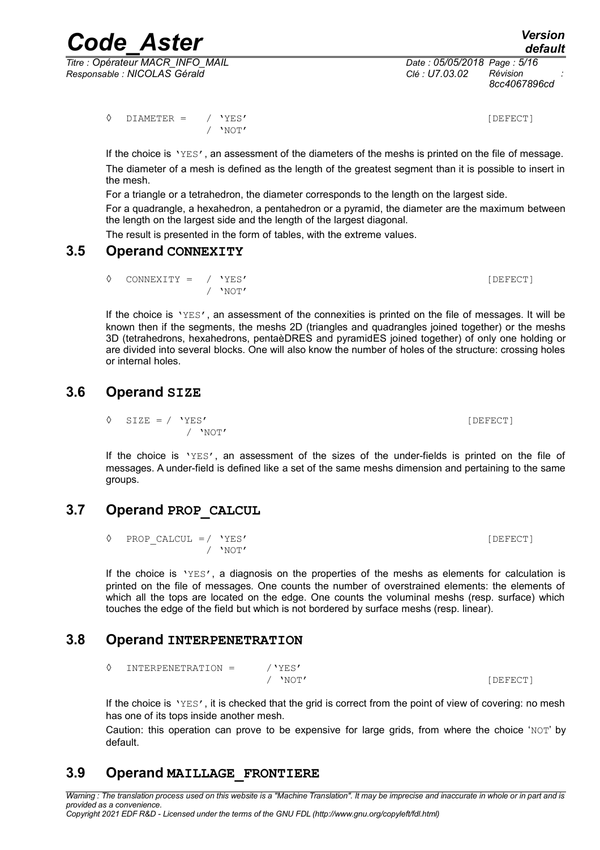*Titre : Opérateur MACR\_INFO\_MAIL Date : 05/05/2018 Page : 5/16 Responsable : NICOLAS Gérald Clé : U7.03.02 Révision :*

*8cc4067896cd*

◊ DIAMETER = / 'YES' [DEFECT] / 'NOT'

If the choice is 'YES', an assessment of the diameters of the meshs is printed on the file of message.

The diameter of a mesh is defined as the length of the greatest segment than it is possible to insert in the mesh.

For a triangle or a tetrahedron, the diameter corresponds to the length on the largest side.

For a quadrangle, a hexahedron, a pentahedron or a pyramid, the diameter are the maximum between the length on the largest side and the length of the largest diagonal.

<span id="page-4-4"></span>The result is presented in the form of tables, with the extreme values.

#### **3.5 Operand CONNEXITY**

◊ CONNEXITY = / 'YES' [DEFECT] / 'NOT'

If the choice is 'YES', an assessment of the connexities is printed on the file of messages. It will be known then if the segments, the meshs 2D (triangles and quadrangles joined together) or the meshs 3D (tetrahedrons, hexahedrons, pentaèDRES and pyramidES joined together) of only one holding or are divided into several blocks. One will also know the number of holes of the structure: crossing holes or internal holes.

#### **3.6 Operand SIZE**

<span id="page-4-3"></span> $\Diamond$  SIZE = / 'YES' [DEFECT] / 'NOT'

If the choice is 'YES', an assessment of the sizes of the under-fields is printed on the file of messages. A under-field is defined like a set of the same meshs dimension and pertaining to the same groups.

### **3.7 Operand PROP\_CALCUL**

<span id="page-4-2"></span>◊ PROP\_CALCUL =/ 'YES' [DEFECT] / 'NOT'

If the choice is 'YES', a diagnosis on the properties of the meshs as elements for calculation is printed on the file of messages. One counts the number of overstrained elements: the elements of which all the tops are located on the edge. One counts the voluminal meshs (resp. surface) which touches the edge of the field but which is not bordered by surface meshs (resp. linear).

#### **3.8 Operand INTERPENETRATION**

<span id="page-4-1"></span>

| INTERPENETRATION = | ⁄ 'YES' |          |
|--------------------|---------|----------|
|                    | 'NOT'   | 'DEFECT1 |

If the choice is 'YES', it is checked that the grid is correct from the point of view of covering: no mesh has one of its tops inside another mesh.

<span id="page-4-0"></span>Caution: this operation can prove to be expensive for large grids, from where the choice ' $NOT'$  by default.

### **3.9 Operand MAILLAGE\_FRONTIERE**

*Warning : The translation process used on this website is a "Machine Translation". It may be imprecise and inaccurate in whole or in part and is provided as a convenience. Copyright 2021 EDF R&D - Licensed under the terms of the GNU FDL (http://www.gnu.org/copyleft/fdl.html)*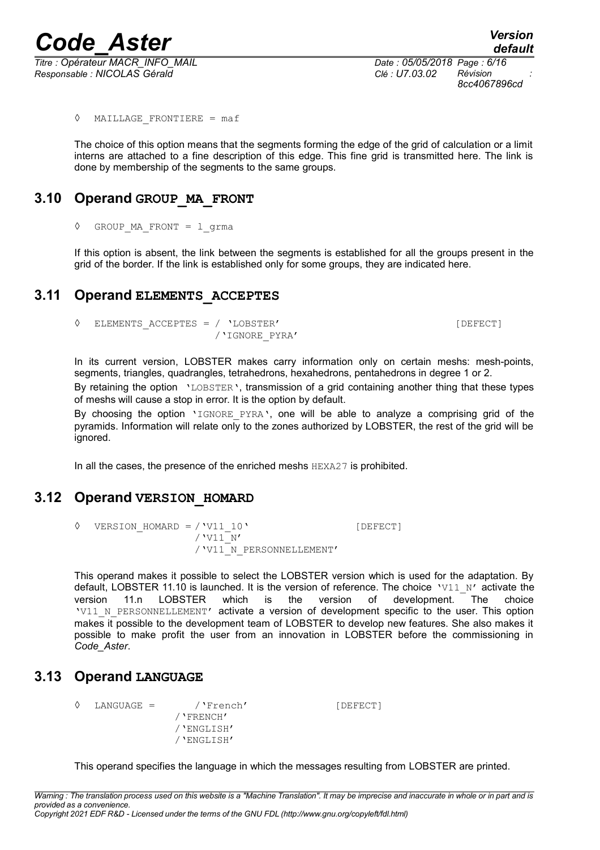*Titre : Opérateur MACR\_INFO\_MAIL Date : 05/05/2018 Page : 6/16 Responsable : NICOLAS Gérald Clé : U7.03.02 Révision :*

*8cc4067896cd*

◊ MAILLAGE\_FRONTIERE = maf

The choice of this option means that the segments forming the edge of the grid of calculation or a limit interns are attached to a fine description of this edge. This fine grid is transmitted here. The link is done by membership of the segments to the same groups.

### **3.10 Operand GROUP\_MA\_FRONT**

<span id="page-5-3"></span>◊ GROUP\_MA\_FRONT = l\_grma

If this option is absent, the link between the segments is established for all the groups present in the grid of the border. If the link is established only for some groups, they are indicated here.

### **3.11 Operand ELEMENTS\_ACCEPTES**

```
◊ ELEMENTS_ACCEPTES = / 'LOBSTER' [DEFECT]
               /'IGNORE_PYRA'
```
In its current version, LOBSTER makes carry information only on certain meshs: mesh-points, segments, triangles, quadrangles, tetrahedrons, hexahedrons, pentahedrons in degree 1 or 2.

By retaining the option 'LOBSTER', transmission of a grid containing another thing that these types of meshs will cause a stop in error. It is the option by default.

By choosing the option 'IGNORE PYRA', one will be able to analyze a comprising grid of the pyramids. Information will relate only to the zones authorized by LOBSTER, the rest of the grid will be ignored.

<span id="page-5-1"></span>In all the cases, the presence of the enriched meshs HEXA27 is prohibited.

### **3.12 Operand VERSION\_HOMARD**

```
\sqrt[3]{} VERSION HOMARD = /'V11_10' [DEFECT]
                  /'V11_N'
                  / V11 N PERSONNELLEMENT'
```
This operand makes it possible to select the LOBSTER version which is used for the adaptation. By default, LOBSTER 11.10 is launched. It is the version of reference. The choice  $\sqrt{11}$  N' activate the version 11.n LOBSTER which is the version of development. The choice 'V11\_N\_PERSONNELLEMENT' activate a version of development specific to the user. This option makes it possible to the development team of LOBSTER to develop new features. She also makes it possible to make profit the user from an innovation in LOBSTER before the commissioning in *Code\_Aster*.

### **3.13 Operand LANGUAGE**

<span id="page-5-0"></span>◊ LANGUAGE = /'French' [DEFECT] /'FRENCH' /'ENGLISH' /'ENGLISH'

This operand specifies the language in which the messages resulting from LOBSTER are printed.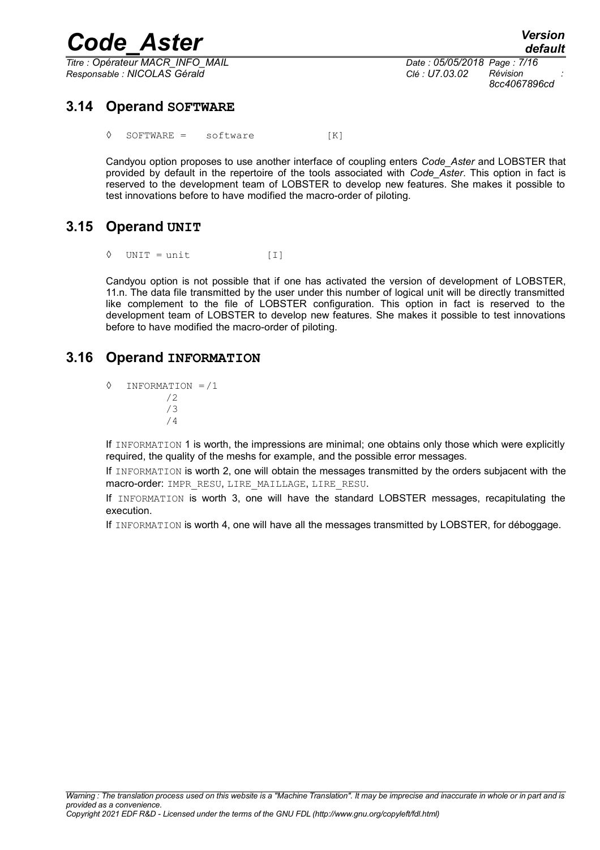*Titre : Opérateur MACR\_INFO\_MAIL Date : 05/05/2018 Page : 7/16 Responsable : NICOLAS Gérald Clé : U7.03.02 Révision :*

*default 8cc4067896cd*

### **3.14 Operand SOFTWARE**

<span id="page-6-2"></span>◊ SOFTWARE = software [K]

Candyou option proposes to use another interface of coupling enters *Code\_Aster* and LOBSTER that provided by default in the repertoire of the tools associated with *Code\_Aster*. This option in fact is reserved to the development team of LOBSTER to develop new features. She makes it possible to test innovations before to have modified the macro-order of piloting.

### **3.15 Operand UNIT**

<span id="page-6-1"></span> $\Diamond$  UNIT = unit [I]

Candyou option is not possible that if one has activated the version of development of LOBSTER, 11.n. The data file transmitted by the user under this number of logical unit will be directly transmitted like complement to the file of LOBSTER configuration. This option in fact is reserved to the development team of LOBSTER to develop new features. She makes it possible to test innovations before to have modified the macro-order of piloting.

#### **3.16 Operand INFORMATION**

```
\Diamond INFORMATION = /1
             /2
             /3
             /4
```
If INFORMATION 1 is worth, the impressions are minimal; one obtains only those which were explicitly required, the quality of the meshs for example, and the possible error messages.

If INFORMATION is worth 2, one will obtain the messages transmitted by the orders subjacent with the macro-order: IMPR\_RESU, LIRE\_MAILLAGE, LIRE\_RESU.

If INFORMATION is worth 3, one will have the standard LOBSTER messages, recapitulating the execution.

If INFORMATION is worth 4, one will have all the messages transmitted by LOBSTER, for déboggage.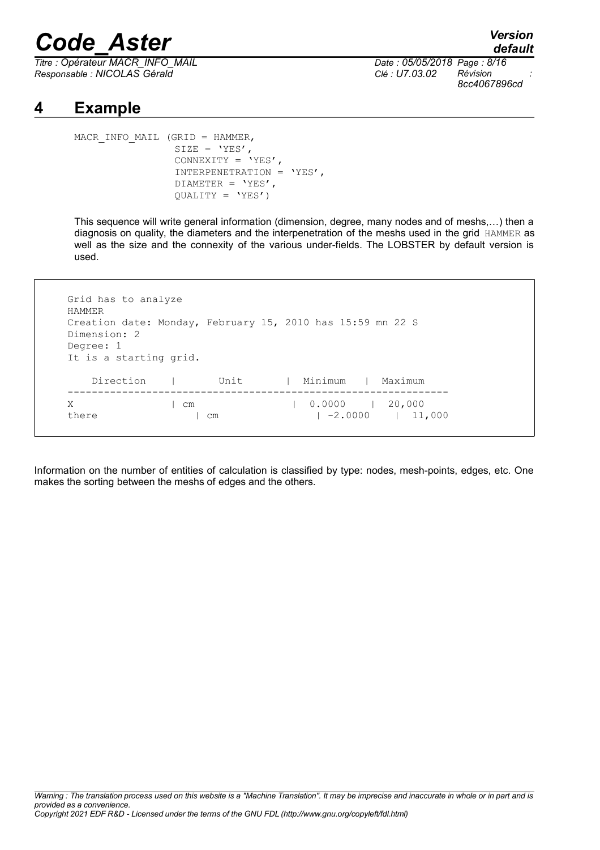*Titre : Opérateur MACR\_INFO\_MAIL Date : 05/05/2018 Page : 8/16 Responsable : NICOLAS Gérald Clé : U7.03.02 Révision :*

*default*

*8cc4067896cd*

**4 Example**

<span id="page-7-0"></span>MACR\_INFO\_MAIL (GRID = HAMMER,  $SIZE = 'YES',$ CONNEXITY =  $'YES'$ , INTERPENETRATION = 'YES', DIAMETER =  $'YES'$ ,  $QUALITY = 'YES')$ 

This sequence will write general information (dimension, degree, many nodes and of meshs,…) then a diagnosis on quality, the diameters and the interpenetration of the meshs used in the grid HAMMER as well as the size and the connexity of the various under-fields. The LOBSTER by default version is used.

 Grid has to analyze HAMMER Creation date: Monday, February 15, 2010 has 15:59 mn 22 S Dimension: 2 Degree: 1 It is a starting grid. Direction | Unit | Minimum | Maximum --------------------------------------------------------------- X | cm | 0.0000 | 20,000 there  $| cm \t -2.0000 | 11,000$ 

Information on the number of entities of calculation is classified by type: nodes, mesh-points, edges, etc. One makes the sorting between the meshs of edges and the others.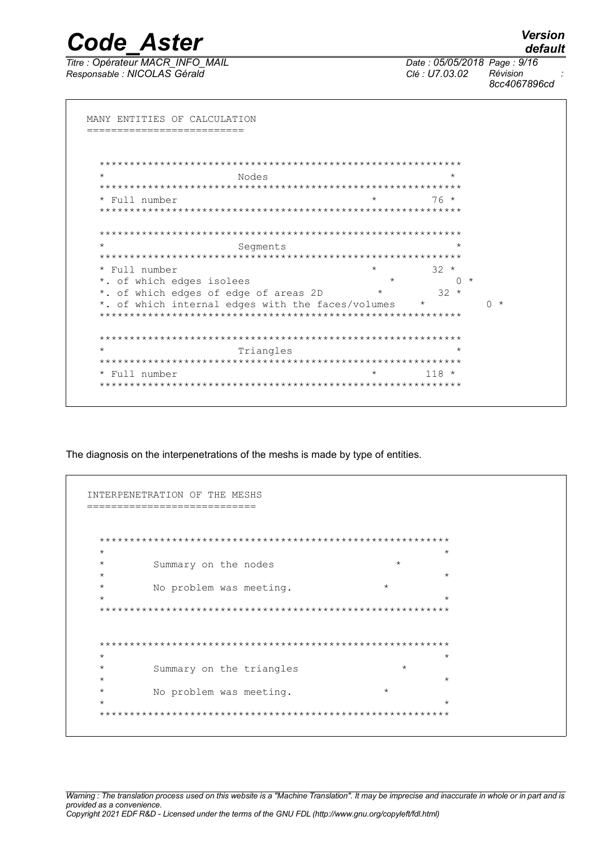Titre : Opérateur MACR INFO MAIL Responsable : NICOLAS Gérald

Date: 05/05/2018 Page: 9/16 Clé : U7.03.02 Révision 8cc4067896cd

MANY ENTITIES OF CALCULATION =========================== Nodes  $\star$ \* Full number  $76*$ Segments \* Full number  $\star$  $32 *$  $0 *$ \*. of which edges isolees  $32 *$  $0 *$ Triangles \* Full number  $\star$  $118 \times$ 

The diagnosis on the interpenetrations of the meshs is made by type of entities.

INTERPENETRATION OF THE MESHS \_\_\_\_\_\_\_\_\_\_\_\_\_\_\_\_\_\_\_\_\_\_\_\_\_\_\_\_\_\_ Summary on the nodes  $\star$ No problem was meeting. Summary on the triangles No problem was meeting. 

#### Version default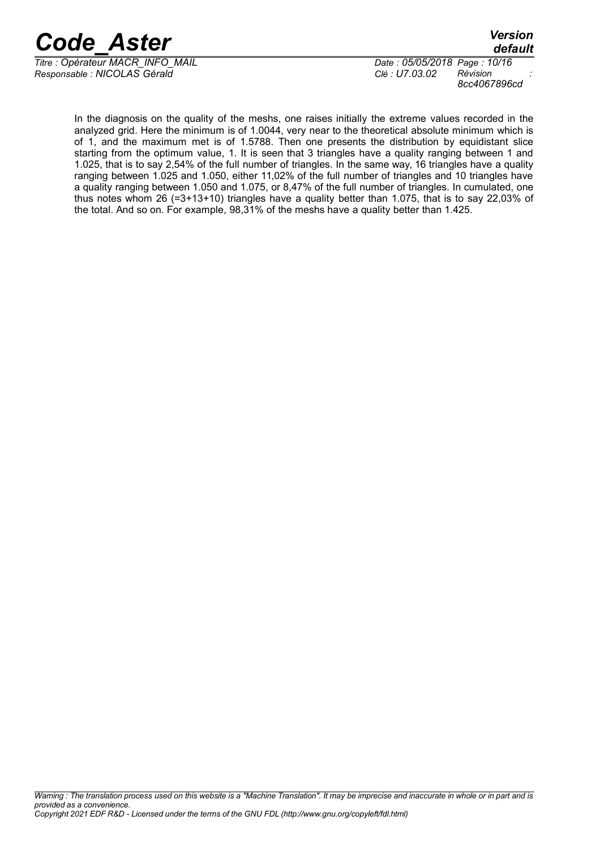

*Titre : Opérateur MACR\_INFO\_MAIL Date : 05/05/2018 Page : 10/16 Responsable : NICOLAS Gérald Clé : U7.03.02 Révision :*

*8cc4067896cd*

In the diagnosis on the quality of the meshs, one raises initially the extreme values recorded in the analyzed grid. Here the minimum is of 1.0044, very near to the theoretical absolute minimum which is of 1, and the maximum met is of 1.5788. Then one presents the distribution by equidistant slice starting from the optimum value, 1. It is seen that 3 triangles have a quality ranging between 1 and 1.025, that is to say 2,54% of the full number of triangles. In the same way, 16 triangles have a quality ranging between 1.025 and 1.050, either 11,02% of the full number of triangles and 10 triangles have a quality ranging between 1.050 and 1.075, or 8,47% of the full number of triangles. In cumulated, one thus notes whom 26 (=3+13+10) triangles have a quality better than 1.075, that is to say 22,03% of the total. And so on. For example, 98,31% of the meshs have a quality better than 1.425.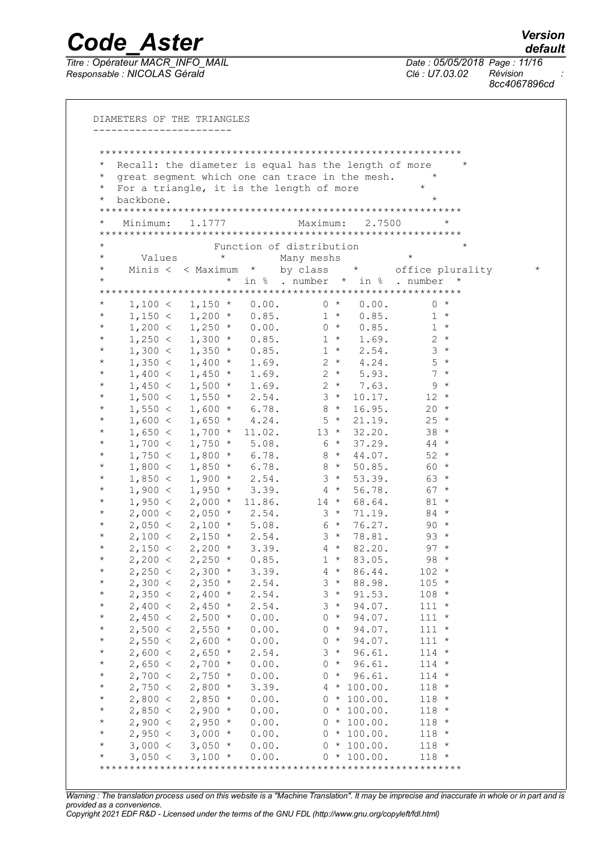Titre : Opérateur MACR\_INFO\_MAIL<br>Responsable : NICOLAS Gérald

Date: 05/05/2018 Page: 11/16 Clé : U7.03.02 Révision 8cc4067896cd

|           | Recall: the diameter is equal has the length of more |       |                          |                 | $^{\star}$<br>$\star$                           |
|-----------|------------------------------------------------------|-------|--------------------------|-----------------|-------------------------------------------------|
|           | great segment which one can trace in the mesh.       |       |                          |                 | $\star$                                         |
| backbone. | * For a triangle, it is the length of more           |       |                          |                 | $\star$                                         |
|           |                                                      |       |                          |                 |                                                 |
|           | 1.1777                                               |       |                          | Maximum: 2.7500 | $\star$                                         |
| Minimum:  |                                                      |       |                          |                 |                                                 |
|           |                                                      |       | Function of distribution |                 | $\star$                                         |
| Values    | $\star$                                              |       | Many meshs               |                 | $\star$                                         |
|           |                                                      |       |                          |                 | Minis < < Maximum * by class * office plurality |
|           | $\star$                                              |       |                          |                 | in % . number * in % . number *                 |
|           |                                                      |       |                          |                 |                                                 |
|           | $1,100 < 1,150 < 0.00$ .                             |       |                          | $0 *$           | 0.00.<br>$0 *$                                  |
|           | $1,150 < 1,200 *$                                    | 0.85. |                          | $1 * 0.85.$     | $1 *$                                           |
|           | $1,200 < 1,250 *$                                    | 0.00. | $0+$                     | 0.85.           | $1 *$                                           |
|           | $1,250 < 1,300 *$                                    | 0.85. |                          | $1 * 1.69.$     | $2 *$                                           |
|           | $1,300 < 1,350 *$                                    |       | $0.85$ . 1 *             | 2.54.           | $3 *$                                           |
|           | $1,350 < 1,400 *$                                    |       | $1.69.$ $2 * 4.24.$      |                 | $5 *$                                           |
|           | $1,400 < 1,450 *$                                    |       | $1.69.$ $2 * 5.93.$      |                 | $7 *$                                           |
|           | $1,450 < 1,500 *$                                    |       | $1.69.$ $2 * 7.63.$      |                 | $9 *$                                           |
|           | $1,500 < 1,550 *$                                    |       | $2.54.$ $3 * 10.17.$     |                 | $12 *$                                          |
|           | $1,550 < 1,600 < 6.78$ .                             |       |                          | $8 * 16.95.$    | $20 *$                                          |
|           | $1,600 < 1,650 * 4.24.$                              |       |                          | $5 * 21.19$ .   | $25 *$                                          |
|           | $1,650 < 1,700 * 11.02$ .                            |       |                          | $13 * 32.20$ .  | $38 *$                                          |
| 1,700 <   | $1,750$ * 5.08.                                      |       | $6*$                     | 37.29.          | $44 *$                                          |
| 1,750 <   | $1,800$ *                                            | 6.78. |                          | $8 * 44.07$ .   | $52 *$                                          |
| 1,800 <   | $1,850$ *                                            | 6.78. |                          | $8 * 50.85$ .   | $60 *$                                          |
|           | $1,850 < 1,900 < 2.54$ .                             |       |                          | $3 * 53.39.$    | 63 *                                            |
|           | $1,900 < 1,950 * 3.39$ .                             |       |                          | $4 * 56.78.$    | $67 *$                                          |
|           | $1,950 < 2,000 < 11.86$ .                            |       |                          | $14 * 68.64.$   | $81 *$                                          |
|           | $2,000 < 2,050 < 2.54$ .                             |       |                          | $3 * 71.19.$    | $84 *$                                          |
|           | $2,050 < 2,100 < 5.08$ .                             |       |                          | $6 * 76.27$ .   | $90 *$                                          |
|           | $2,100 < 2,150 < 2.54$ .                             |       |                          | $3 * 78.81.$    | $93 *$                                          |
|           | $2,150 < 2,200 *$                                    | 3.39. |                          | $4 * 82.20.$    | $97 *$                                          |
| 2,200 <   | $2,250$ *                                            | 0.85. | $1 *$                    | 83.05.          | $98 *$                                          |
| 2,250 <   | $2,300 *$                                            | 3.39. | $4 *$                    | 86.44.          | $102 *$                                         |
| 2,300 <   | $2,350$ *                                            | 2.54. | $3 *$                    | 88.98.          | $105 *$                                         |
| 2,350 <   | $2,400*$                                             | 2.54. | $3 *$                    | 91.53.          | $108 *$                                         |
| 2,400 <   | $2,450$ *                                            | 2.54. | $3 *$                    | 94.07.          | $111 *$                                         |
| 2,450 <   | $2,500 *$                                            | 0.00. | $0 *$                    | 94.07.          | $111 *$                                         |
| 2,500 <   | $2,550$ *                                            | 0.00. | $0 *$                    | 94.07.          | $111 *$                                         |
| 2,550 <   | $2,600$ *                                            | 0.00. | $0 *$                    | 94.07.          | $111 *$                                         |
| 2,600 <   | $2,650$ *                                            | 2.54. | $3 *$                    | 96.61.          | $114 *$                                         |
| 2,650 <   | $2,700$ *                                            | 0.00. | $0 *$                    | 96.61.          | $114 *$                                         |
| 2,700 <   | $2,750$ *                                            | 0.00. | $0 *$                    | 96.61.          | $114 *$                                         |
| 2,750 <   | $2,800$ *                                            | 3.39. |                          | $4 * 100.00.$   | $118 *$                                         |
| 2,800 <   | $2,850*$                                             | 0.00. |                          | $0 * 100.00.$   | $118 *$                                         |
| 2,850 <   | $2,900 *$                                            | 0.00. |                          | $0 * 100.00.$   | $118 *$                                         |
| 2,900 <   | $2,950$ *                                            | 0.00. |                          | $0 * 100.00.$   | $118 *$                                         |
| 2,950 <   | $3,000$ *                                            | 0.00. |                          | $0 * 100.00.$   | $118 *$                                         |
| 3,000 <   | $3,050$ *                                            | 0.00. |                          | $0 * 100.00.$   | $118 *$                                         |
|           | $3,050 < 3,100 *$                                    | 0.00. |                          | $0 * 100.00.$   | $118 *$                                         |

Warning: The translation process used on this website is a "Machine Translation". It may be imprecise and inaccurate in whole or in part and is provided as a convenience.<br>Copyright 2021 EDF R&D - Licensed under the terms of the GNU FDL (http://www.gnu.org/copyleft/fdl.html)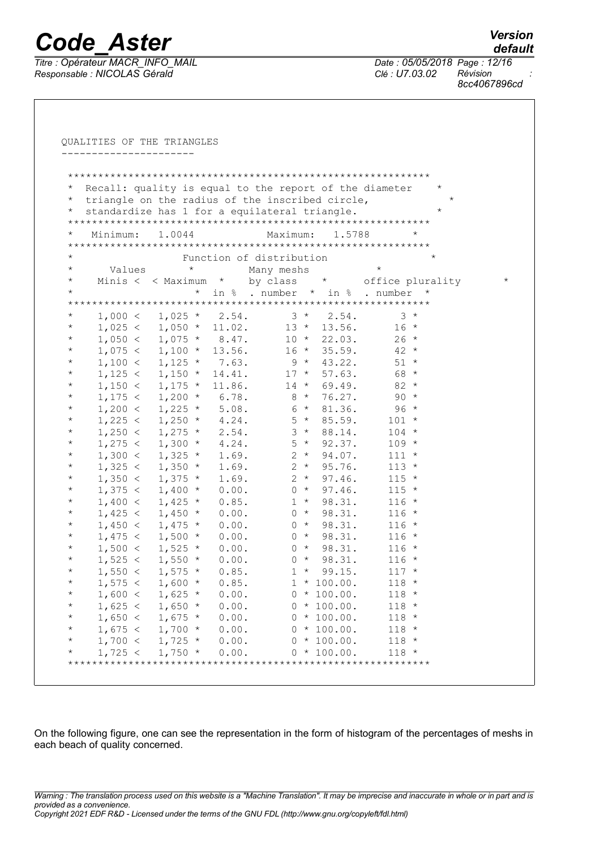Titre : Opérateur MACR INFO MAIL Responsable : NICOLAS Gérald

default Date: 05/05/2018 Page: 12/16 Révision Clé : U7.03.02 8cc4067896cd

**Version** 

| $^{\star}$         |         | Recall: quality is equal to the report of the diameter |                |                          |                              | $^\star$                                        |         |
|--------------------|---------|--------------------------------------------------------|----------------|--------------------------|------------------------------|-------------------------------------------------|---------|
| $\star$            |         | triangle on the radius of the inscribed circle,        |                |                          |                              | $\star$                                         |         |
| $\star$            |         | standardize has 1 for a equilateral triangle.          |                |                          |                              | $\star$                                         |         |
|                    |         |                                                        |                |                          |                              | $\star$                                         |         |
| $^\star$           |         | Minimum: 1.0044                                        |                |                          | Maximum: 1.5788              |                                                 |         |
| $\star$            |         |                                                        |                |                          |                              | $\star$                                         |         |
| $^{\star}$         |         | $\star$                                                |                | Function of distribution |                              | $\star$                                         |         |
| $^\star$           | Values  |                                                        |                | Many meshs               |                              | Minis < < Maximum * by class * office plurality | $\star$ |
| $\star$            |         | $\star$                                                |                |                          |                              | in % . number * in % . number<br>$\star$        |         |
|                    |         |                                                        |                |                          |                              |                                                 |         |
| $^\star$           |         | $1,000 < 1,025 * 2.54.$ 3 * 2.54.                      |                |                          |                              | $3 *$                                           |         |
| $^\star$           |         | $1,025 < 1,050 * 11.02.$ $13 * 13.56.$                 |                |                          |                              | $16 *$                                          |         |
| $\star$            |         | $1,050 < 1,075 * 8.47.$ 10 * 22.03.                    |                |                          |                              | $26 *$                                          |         |
| $^\star$           |         | $1,075 < 1,100 * 13.56$ .                              |                |                          | $16 * 35.59.$                | $42 *$                                          |         |
| $\star$            |         | $1,100 < 1,125 * 7.63$ .                               |                |                          | $9 * 43.22$ .                | $51 *$                                          |         |
| $\star$            |         | $1,125$ < $1,150$ * $14.41$ .                          |                |                          | $17 * 57.63.$                | 68 *                                            |         |
| $^\star$           |         | $1,150 < 1,175 * 11.86$ .                              |                |                          | $14 * 69.49.$                | $82 *$                                          |         |
| $^\star$           |         | $1,175 < 1,200 < 6.78$ .                               |                |                          | $8*76.27.$                   | $90 *$                                          |         |
| $\star$            |         | $1,200 < 1,225 *$                                      | 5.08.          | $6*$                     | 81.36.                       | $96 *$                                          |         |
| $\star$            |         | $1,225 < 1,250 < 4.24$ .                               |                | $5 *$                    | 85.59.                       | $101 *$                                         |         |
| $\star$            |         | $1,250 < 1,275 * 2.54.$                                |                | $3 *$                    | 88.14.                       | $104 *$                                         |         |
| $\star$            |         | $1,275 < 1,300 < 4.24$ .                               |                | $5 *$                    | 92.37.                       | $109 *$                                         |         |
| $\star$            |         | $1,300 < 1,325 * 1.69$ .                               |                |                          | $2 * 94.07$ .                | $111 *$                                         |         |
| $\star$            |         | $1,325 < 1,350 * 1.69$ .                               |                |                          | $2 * 95.76$ .                | $113 *$                                         |         |
| $\star$            |         | $1,350 < 1,375 *$                                      | 1.69.          |                          | $2 * 97.46.$                 | $115 *$                                         |         |
| $\star$            |         | $1,375 \lt 1,400 \star$                                | 0.00.          |                          | $0 * 97.46.$                 | $115 *$                                         |         |
| $\star$<br>$\star$ |         | $1,400 < 1,425 *$                                      | 0.85.          |                          | $1 * 98.31.$                 | $116 *$                                         |         |
| $\star$            |         | $1,425 < 1,450 *$                                      | 0.00.          |                          | $0 * 98.31.$                 | $116 *$                                         |         |
| $^{\star}$         |         | $1,450 < 1,475 *$<br>$1,475 \lt 1,500 \lt \t$          | 0.00.<br>0.00. |                          | $0 * 98.31.$<br>$0 * 98.31.$ | $116 *$<br>$116 *$                              |         |
| $^\star$           |         | $1,500 < 1,525 *$                                      | 0.00.          |                          | $0 * 98.31.$                 | $116 *$                                         |         |
| $\star$            |         | $1,525 < 1,550 *$                                      | 0.00.          |                          | $0 * 98.31.$                 | $116 *$                                         |         |
| $\star$            | 1,550 < | $1,575$ *                                              | 0.85.          | $1 *$                    | 99.15.                       | $117 *$                                         |         |
| $\star$            | 1,575 < | $1,600$ *                                              | 0.85.          |                          | $1 * 100.00.$                | $118 *$                                         |         |
| $^\star$           |         | $1,600 < 1,625 * 0.00.$                                |                |                          | $0 * 100.00.$                | $118 *$                                         |         |
| $^\star$           |         | $1,625 < 1,650 * 0.00.$                                |                |                          | $0 * 100.00.$                | $118 *$                                         |         |
| $\star$            |         | $1,650 < 1,675 * 0.00.$                                |                |                          | $0 * 100.00.$                | $118 *$                                         |         |
| $\star$            |         | $1,675 < 1,700 * 0.00.$                                |                |                          | $0 * 100.00.$                | $118 *$                                         |         |
| $\star$            |         | $1,700 < 1,725 * 0.00.$                                |                |                          | $0 * 100.00.$                | $118 *$                                         |         |
| $\star$            |         | $1,725 \leq 1,750 \times 0.00$ .                       |                |                          | $0 * 100.00.$                | $118 *$                                         |         |

On the following figure, one can see the representation in the form of histogram of the percentages of meshs in each beach of quality concerned.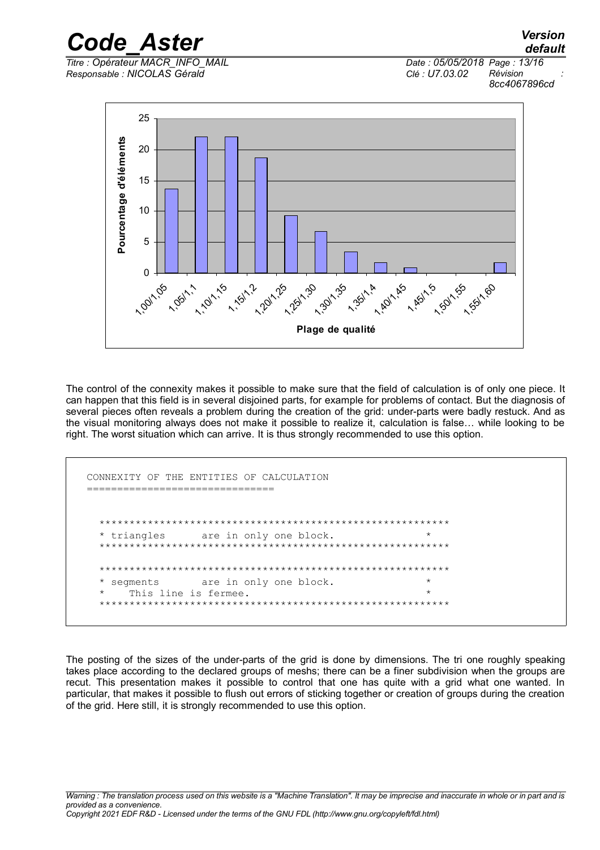

The control of the connexity makes it possible to make sure that the field of calculation is of only one piece. It can happen that this field is in several disjoined parts, for example for problems of contact. But the diagnosis of several pieces often reveals a problem during the creation of the grid: under-parts were badly restuck. And as the visual monitoring always does not make it possible to realize it, calculation is false... while looking to be right. The worst situation which can arrive. It is thus strongly recommended to use this option.

```
CONNEXITY OF THE ENTITIES OF CALCULATION
=================================
 are in only one block.
  triangles
     ************************************
  segments
             are in only one block.
    This line is fermee.
    ************************************
```
The posting of the sizes of the under-parts of the grid is done by dimensions. The tri one roughly speaking takes place according to the declared groups of meshs; there can be a finer subdivision when the groups are recut. This presentation makes it possible to control that one has quite with a grid what one wanted. In particular, that makes it possible to flush out errors of sticking together or creation of groups during the creation of the grid. Here still, it is strongly recommended to use this option.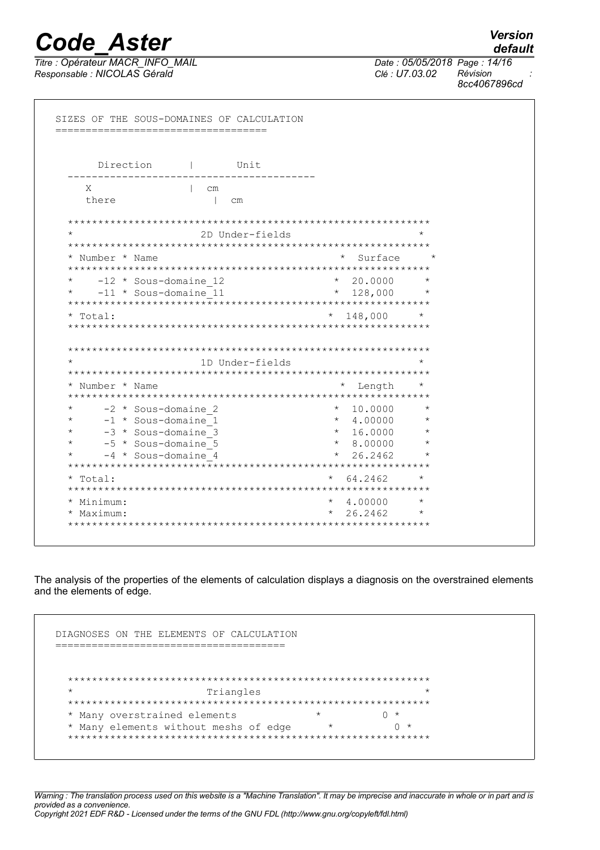Titre : Opérateur MACR INFO MAIL Responsable : NICOLAS Gérald

**Version** 

SIZES OF THE SOUS-DOMAINES OF CALCULATION Direction | Unit  $X$  $|\quad \text{cm}$ there  $\vert$  cm  $\ddot{\phantom{0}}$ 2D Under-fields \* Number \* Name \* Surface  $-12 *$  Sous-domaine 12  $*$  20.0000  $-11 *$  Sous-domaine  $11$  $*$  128,000  $*$  148,000  $*$  Total: 1D Under-fields \* Number \* Name \* Lenath  $\rightarrow$ -2 \* Sous-domaine 2  $\star$  $\star$ 10 0000  $-1 *$  Sous-domaine 1  $\star$ 4.00000  $\star$ 16.0000  $\star$ -3 \* Sous-domaine 3  $\star$  $\star$ -5 \* Sous-domaine 5  $* 8.00000$  $\star$  $-4$  \* Sous-domaine 4  $* 26.2462$  $*$  Total:  $* 64.2462$  $\star$  $\rightarrow$ \* Minimum:  $*$  4.00000  $*$  26.2462  $\rightarrow$ \* Maximum: 

The analysis of the properties of the elements of calculation displays a diagnosis on the overstrained elements and the elements of edge.

```
DIAGNOSES ON THE ELEMENTS OF CALCULATION
Triangles
0 *
```
Warning : The translation process used on this website is a "Machine Translation". It may be imprecise and inaccurate in whole or in part and is provided as a convenience. Copyright 2021 EDF R&D - Licensed under the terms of the GNU FDL (http://www.gnu.org/copyleft/fdl.html)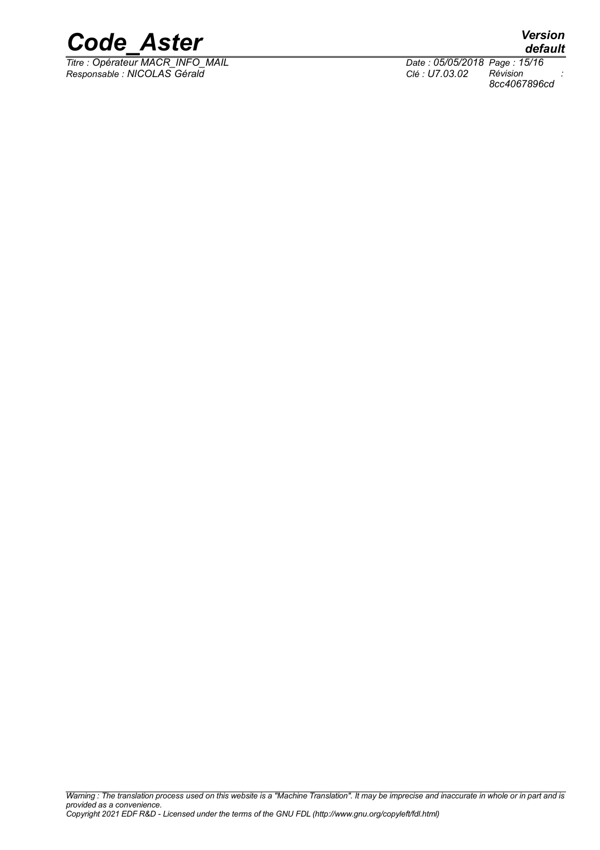

*Titre : Opérateur MACR\_INFO\_MAIL Date : 05/05/2018 Page : 15/16*

*default Responsable : NICOLAS Gérald Clé : U7.03.02 Révision : 8cc4067896cd*